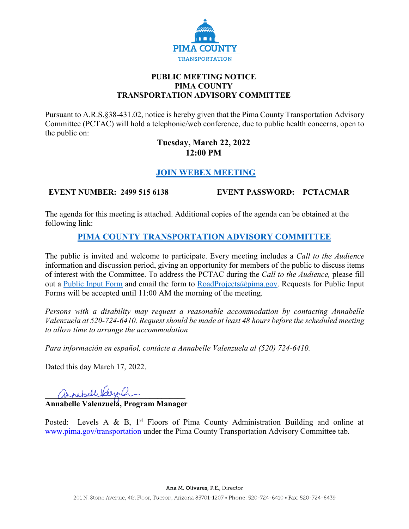

#### **PUBLIC MEETING NOTICE PIMA COUNTY TRANSPORTATION ADVISORY COMMITTEE**

Pursuant to A.R.S.§38-431.02, notice is hereby given that the Pima County Transportation Advisory Committee (PCTAC) will hold a telephonic/web conference, due to public health concerns, open to the public on:

#### **Tuesday, March 22, 2022 12:00 PM**

# **[JOIN WEBEX MEETING](https://pimacounty.webex.com/mw3300/mywebex/default.do?siteurl=pimacounty&service=6)**

## **EVENT NUMBER: 2499 515 6138 EVENT PASSWORD: PCTACMAR**

The agenda for this meeting is attached. Additional copies of the agenda can be obtained at the following link:

## **[PIMA COUNTY TRANSPORTATION ADVISORY COMMITTEE](https://webcms.pima.gov/cms/One.aspx?portalId=169&pageId=355530)**

The public is invited and welcome to participate. Every meeting includes a *Call to the Audience*  information and discussion period, giving an opportunity for members of the public to discuss items of interest with the Committee. To address the PCTAC during the *Call to the Audience,* please fill out a [Public Input Form](https://webcms.pima.gov/UserFiles/Servers/Server_6/File/Government/Transportation/TransportationAdvisoryCommittee/PCTAC_Speaker_Card.pdf) and email the form to [RoadProjects@pima.gov.](mailto:RoadProjects@pima.gov) Requests for Public Input Forms will be accepted until 11:00 AM the morning of the meeting.

*Persons with a disability may request a reasonable accommodation by contacting Annabelle Valenzuela at 520-724-6410. Request should be made at least 48 hours before the scheduled meeting to allow time to arrange the accommodation*

*Para información en español, contácte a Annabelle Valenzuela al (520) 724-6410.*

Dated this day March 17, 2022.

annebelle deep en

**Annabelle Valenzuela, Program Manager** 

Posted: Levels A & B,  $1<sup>st</sup>$  Floors of Pima County Administration Building and online at [www.pima.gov/transportation](http://www.pima.gov/transportation) under the Pima County Transportation Advisory Committee tab.